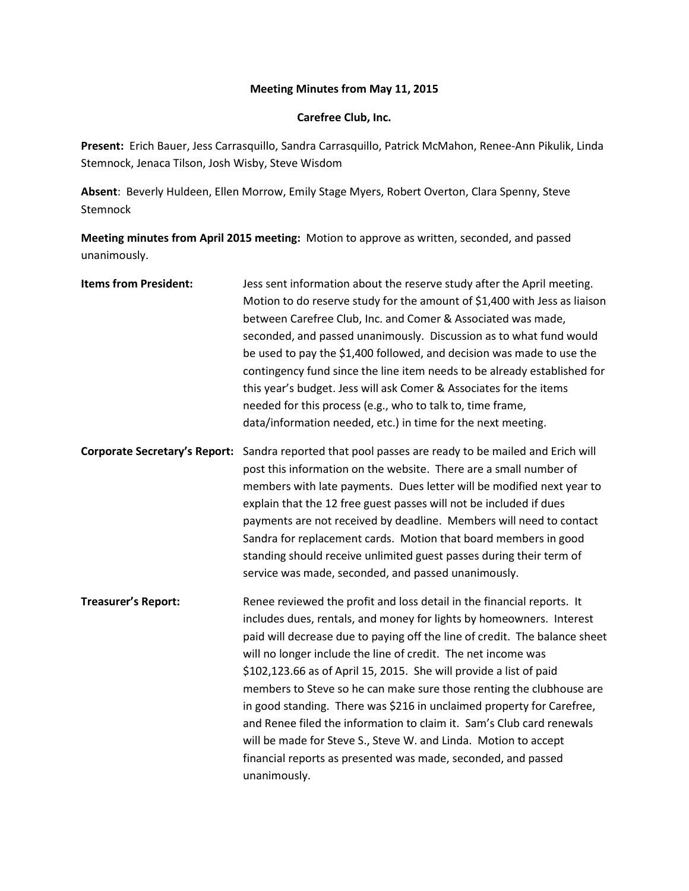## **Meeting Minutes from May 11, 2015**

## **Carefree Club, Inc.**

**Present:** Erich Bauer, Jess Carrasquillo, Sandra Carrasquillo, Patrick McMahon, Renee-Ann Pikulik, Linda Stemnock, Jenaca Tilson, Josh Wisby, Steve Wisdom

**Absent**: Beverly Huldeen, Ellen Morrow, Emily Stage Myers, Robert Overton, Clara Spenny, Steve Stemnock

**Meeting minutes from April 2015 meeting:** Motion to approve as written, seconded, and passed unanimously.

| <b>Items from President:</b>         | Jess sent information about the reserve study after the April meeting.<br>Motion to do reserve study for the amount of \$1,400 with Jess as liaison<br>between Carefree Club, Inc. and Comer & Associated was made,<br>seconded, and passed unanimously. Discussion as to what fund would<br>be used to pay the \$1,400 followed, and decision was made to use the<br>contingency fund since the line item needs to be already established for<br>this year's budget. Jess will ask Comer & Associates for the items<br>needed for this process (e.g., who to talk to, time frame,<br>data/information needed, etc.) in time for the next meeting.                                                                                                |
|--------------------------------------|---------------------------------------------------------------------------------------------------------------------------------------------------------------------------------------------------------------------------------------------------------------------------------------------------------------------------------------------------------------------------------------------------------------------------------------------------------------------------------------------------------------------------------------------------------------------------------------------------------------------------------------------------------------------------------------------------------------------------------------------------|
| <b>Corporate Secretary's Report:</b> | Sandra reported that pool passes are ready to be mailed and Erich will<br>post this information on the website. There are a small number of<br>members with late payments. Dues letter will be modified next year to<br>explain that the 12 free guest passes will not be included if dues<br>payments are not received by deadline. Members will need to contact<br>Sandra for replacement cards. Motion that board members in good<br>standing should receive unlimited guest passes during their term of<br>service was made, seconded, and passed unanimously.                                                                                                                                                                                |
| <b>Treasurer's Report:</b>           | Renee reviewed the profit and loss detail in the financial reports. It<br>includes dues, rentals, and money for lights by homeowners. Interest<br>paid will decrease due to paying off the line of credit. The balance sheet<br>will no longer include the line of credit. The net income was<br>\$102,123.66 as of April 15, 2015. She will provide a list of paid<br>members to Steve so he can make sure those renting the clubhouse are<br>in good standing. There was \$216 in unclaimed property for Carefree,<br>and Renee filed the information to claim it. Sam's Club card renewals<br>will be made for Steve S., Steve W. and Linda. Motion to accept<br>financial reports as presented was made, seconded, and passed<br>unanimously. |